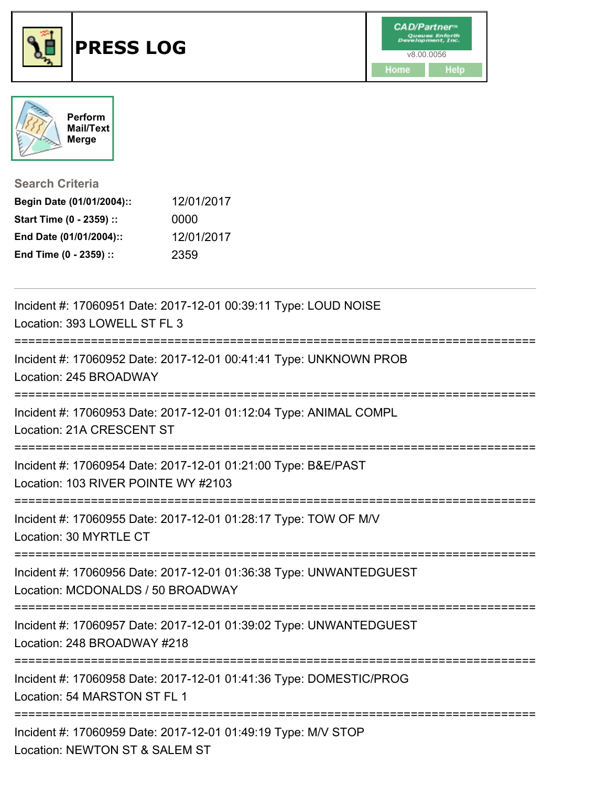



**Search Criteria**

| Begin Date (01/01/2004):: | 12/01/2017 |
|---------------------------|------------|
| Start Time (0 - 2359) ::  | 0000       |
| End Date (01/01/2004)::   | 12/01/2017 |
| End Time (0 - 2359) ::    | 2359       |

| Incident #: 17060951 Date: 2017-12-01 00:39:11 Type: LOUD NOISE<br>Location: 393 LOWELL ST FL 3                                |
|--------------------------------------------------------------------------------------------------------------------------------|
| Incident #: 17060952 Date: 2017-12-01 00:41:41 Type: UNKNOWN PROB<br>Location: 245 BROADWAY                                    |
| Incident #: 17060953 Date: 2017-12-01 01:12:04 Type: ANIMAL COMPL<br>Location: 21A CRESCENT ST                                 |
| Incident #: 17060954 Date: 2017-12-01 01:21:00 Type: B&E/PAST<br>Location: 103 RIVER POINTE WY #2103<br>====================== |
| Incident #: 17060955 Date: 2017-12-01 01:28:17 Type: TOW OF M/V<br>Location: 30 MYRTLE CT                                      |
| Incident #: 17060956 Date: 2017-12-01 01:36:38 Type: UNWANTEDGUEST<br>Location: MCDONALDS / 50 BROADWAY                        |
| Incident #: 17060957 Date: 2017-12-01 01:39:02 Type: UNWANTEDGUEST<br>Location: 248 BROADWAY #218                              |
| Incident #: 17060958 Date: 2017-12-01 01:41:36 Type: DOMESTIC/PROG<br>Location: 54 MARSTON ST FL 1                             |
| Incident #: 17060959 Date: 2017-12-01 01:49:19 Type: M/V STOP<br>Location: NEWTON ST & SALEM ST                                |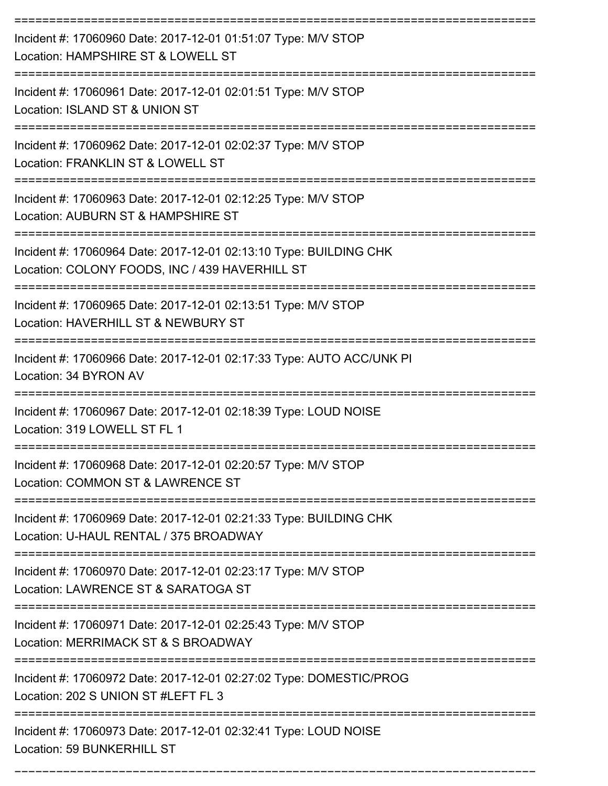| Incident #: 17060960 Date: 2017-12-01 01:51:07 Type: M/V STOP<br>Location: HAMPSHIRE ST & LOWELL ST                                                  |
|------------------------------------------------------------------------------------------------------------------------------------------------------|
| Incident #: 17060961 Date: 2017-12-01 02:01:51 Type: M/V STOP<br>Location: ISLAND ST & UNION ST                                                      |
| Incident #: 17060962 Date: 2017-12-01 02:02:37 Type: M/V STOP<br>Location: FRANKLIN ST & LOWELL ST                                                   |
| Incident #: 17060963 Date: 2017-12-01 02:12:25 Type: M/V STOP<br>Location: AUBURN ST & HAMPSHIRE ST                                                  |
| Incident #: 17060964 Date: 2017-12-01 02:13:10 Type: BUILDING CHK<br>Location: COLONY FOODS, INC / 439 HAVERHILL ST                                  |
| Incident #: 17060965 Date: 2017-12-01 02:13:51 Type: M/V STOP<br>Location: HAVERHILL ST & NEWBURY ST                                                 |
| Incident #: 17060966 Date: 2017-12-01 02:17:33 Type: AUTO ACC/UNK PI<br>Location: 34 BYRON AV                                                        |
| Incident #: 17060967 Date: 2017-12-01 02:18:39 Type: LOUD NOISE<br>Location: 319 LOWELL ST FL 1                                                      |
| Incident #: 17060968 Date: 2017-12-01 02:20:57 Type: M/V STOP<br>Location: COMMON ST & LAWRENCE ST                                                   |
| Incident #: 17060969 Date: 2017-12-01 02:21:33 Type: BUILDING CHK<br>Location: U-HAUL RENTAL / 375 BROADWAY                                          |
| Incident #: 17060970 Date: 2017-12-01 02:23:17 Type: M/V STOP<br>Location: LAWRENCE ST & SARATOGA ST                                                 |
| ----------------------<br>------------------<br>Incident #: 17060971 Date: 2017-12-01 02:25:43 Type: M/V STOP<br>Location: MERRIMACK ST & S BROADWAY |
| Incident #: 17060972 Date: 2017-12-01 02:27:02 Type: DOMESTIC/PROG<br>Location: 202 S UNION ST #LEFT FL 3                                            |
| Incident #: 17060973 Date: 2017-12-01 02:32:41 Type: LOUD NOISE<br>Location: 59 BUNKERHILL ST                                                        |

===========================================================================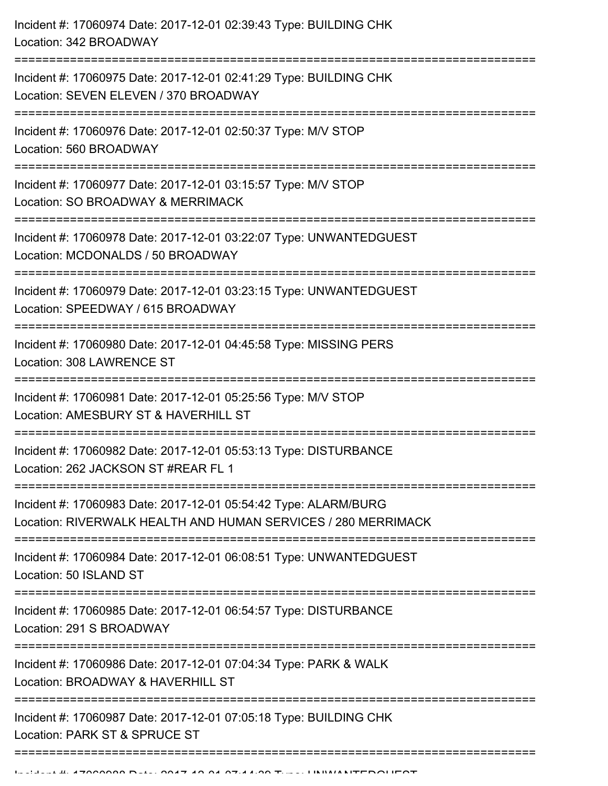| Incident #: 17060974 Date: 2017-12-01 02:39:43 Type: BUILDING CHK<br>Location: 342 BROADWAY                                                   |
|-----------------------------------------------------------------------------------------------------------------------------------------------|
| Incident #: 17060975 Date: 2017-12-01 02:41:29 Type: BUILDING CHK<br>Location: SEVEN ELEVEN / 370 BROADWAY<br>;============================   |
| Incident #: 17060976 Date: 2017-12-01 02:50:37 Type: M/V STOP<br>Location: 560 BROADWAY                                                       |
| Incident #: 17060977 Date: 2017-12-01 03:15:57 Type: M/V STOP<br>Location: SO BROADWAY & MERRIMACK<br>;=======================                |
| Incident #: 17060978 Date: 2017-12-01 03:22:07 Type: UNWANTEDGUEST<br>Location: MCDONALDS / 50 BROADWAY                                       |
| Incident #: 17060979 Date: 2017-12-01 03:23:15 Type: UNWANTEDGUEST<br>Location: SPEEDWAY / 615 BROADWAY                                       |
| Incident #: 17060980 Date: 2017-12-01 04:45:58 Type: MISSING PERS<br>Location: 308 LAWRENCE ST                                                |
| Incident #: 17060981 Date: 2017-12-01 05:25:56 Type: M/V STOP<br>Location: AMESBURY ST & HAVERHILL ST<br>==================================== |
| Incident #: 17060982 Date: 2017-12-01 05:53:13 Type: DISTURBANCE<br>Location: 262 JACKSON ST #REAR FL 1                                       |
| Incident #: 17060983 Date: 2017-12-01 05:54:42 Type: ALARM/BURG<br>Location: RIVERWALK HEALTH AND HUMAN SERVICES / 280 MERRIMACK              |
| Incident #: 17060984 Date: 2017-12-01 06:08:51 Type: UNWANTEDGUEST<br>Location: 50 ISLAND ST                                                  |
| Incident #: 17060985 Date: 2017-12-01 06:54:57 Type: DISTURBANCE<br>Location: 291 S BROADWAY                                                  |
| Incident #: 17060986 Date: 2017-12-01 07:04:34 Type: PARK & WALK<br>Location: BROADWAY & HAVERHILL ST                                         |
| Incident #: 17060987 Date: 2017-12-01 07:05:18 Type: BUILDING CHK<br>Location: PARK ST & SPRUCE ST                                            |
|                                                                                                                                               |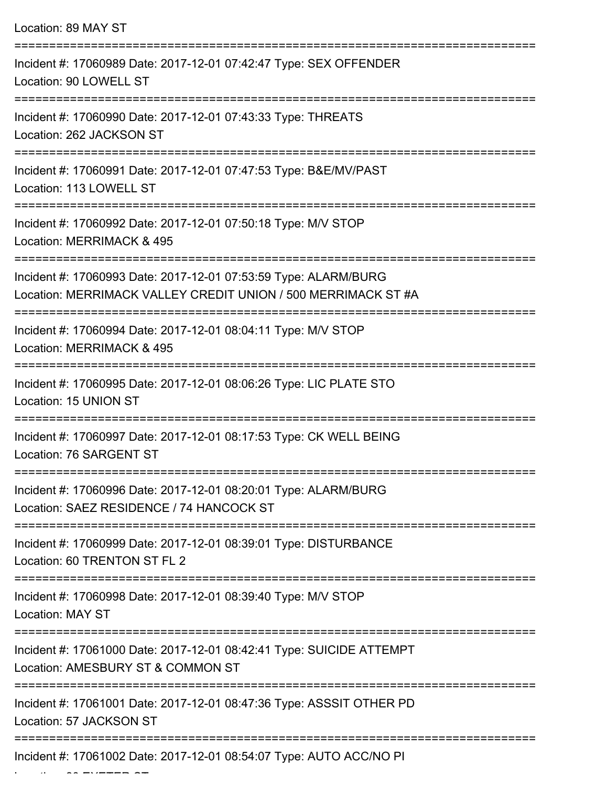| Location: 89 MAY ST                                                                                                              |
|----------------------------------------------------------------------------------------------------------------------------------|
| Incident #: 17060989 Date: 2017-12-01 07:42:47 Type: SEX OFFENDER<br>Location: 90 LOWELL ST                                      |
| Incident #: 17060990 Date: 2017-12-01 07:43:33 Type: THREATS<br>Location: 262 JACKSON ST<br>----------------------------------   |
| Incident #: 17060991 Date: 2017-12-01 07:47:53 Type: B&E/MV/PAST<br>Location: 113 LOWELL ST                                      |
| Incident #: 17060992 Date: 2017-12-01 07:50:18 Type: M/V STOP<br>Location: MERRIMACK & 495                                       |
| Incident #: 17060993 Date: 2017-12-01 07:53:59 Type: ALARM/BURG<br>Location: MERRIMACK VALLEY CREDIT UNION / 500 MERRIMACK ST #A |
| Incident #: 17060994 Date: 2017-12-01 08:04:11 Type: M/V STOP<br>Location: MERRIMACK & 495                                       |
| Incident #: 17060995 Date: 2017-12-01 08:06:26 Type: LIC PLATE STO<br>Location: 15 UNION ST                                      |
| Incident #: 17060997 Date: 2017-12-01 08:17:53 Type: CK WELL BEING<br>Location: 76 SARGENT ST                                    |
| Incident #: 17060996 Date: 2017-12-01 08:20:01 Type: ALARM/BURG<br>Location: SAEZ RESIDENCE / 74 HANCOCK ST                      |
| Incident #: 17060999 Date: 2017-12-01 08:39:01 Type: DISTURBANCE<br>Location: 60 TRENTON ST FL 2                                 |
| Incident #: 17060998 Date: 2017-12-01 08:39:40 Type: M/V STOP<br><b>Location: MAY ST</b>                                         |
| Incident #: 17061000 Date: 2017-12-01 08:42:41 Type: SUICIDE ATTEMPT<br>Location: AMESBURY ST & COMMON ST                        |
| Incident #: 17061001 Date: 2017-12-01 08:47:36 Type: ASSSIT OTHER PD<br>Location: 57 JACKSON ST                                  |
| Incident #: 17061002 Date: 2017-12-01 08:54:07 Type: AUTO ACC/NO PI                                                              |

Location: 80 EXETER ST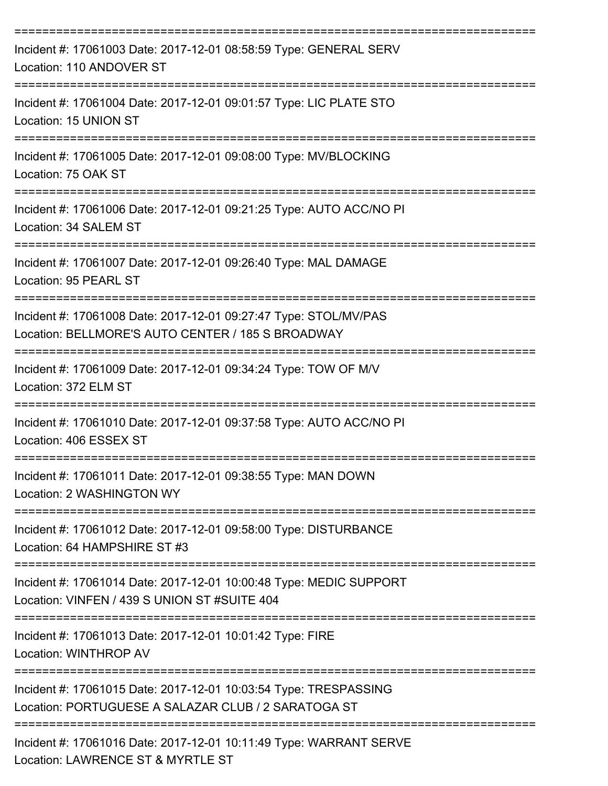| Incident #: 17061003 Date: 2017-12-01 08:58:59 Type: GENERAL SERV<br>Location: 110 ANDOVER ST                           |
|-------------------------------------------------------------------------------------------------------------------------|
| Incident #: 17061004 Date: 2017-12-01 09:01:57 Type: LIC PLATE STO<br>Location: 15 UNION ST                             |
| Incident #: 17061005 Date: 2017-12-01 09:08:00 Type: MV/BLOCKING<br>Location: 75 OAK ST<br>------------------------     |
| Incident #: 17061006 Date: 2017-12-01 09:21:25 Type: AUTO ACC/NO PI<br>Location: 34 SALEM ST                            |
| Incident #: 17061007 Date: 2017-12-01 09:26:40 Type: MAL DAMAGE<br>Location: 95 PEARL ST                                |
| Incident #: 17061008 Date: 2017-12-01 09:27:47 Type: STOL/MV/PAS<br>Location: BELLMORE'S AUTO CENTER / 185 S BROADWAY   |
| Incident #: 17061009 Date: 2017-12-01 09:34:24 Type: TOW OF M/V<br>Location: 372 ELM ST                                 |
| Incident #: 17061010 Date: 2017-12-01 09:37:58 Type: AUTO ACC/NO PI<br>Location: 406 ESSEX ST                           |
| Incident #: 17061011 Date: 2017-12-01 09:38:55 Type: MAN DOWN<br>Location: 2 WASHINGTON WY                              |
| Incident #: 17061012 Date: 2017-12-01 09:58:00 Type: DISTURBANCE<br>Location: 64 HAMPSHIRE ST #3                        |
| Incident #: 17061014 Date: 2017-12-01 10:00:48 Type: MEDIC SUPPORT<br>Location: VINFEN / 439 S UNION ST #SUITE 404      |
| ============================<br>Incident #: 17061013 Date: 2017-12-01 10:01:42 Type: FIRE<br>Location: WINTHROP AV      |
| Incident #: 17061015 Date: 2017-12-01 10:03:54 Type: TRESPASSING<br>Location: PORTUGUESE A SALAZAR CLUB / 2 SARATOGA ST |
| Incident #: 17061016 Date: 2017-12-01 10:11:49 Type: WARRANT SERVE<br>Location: LAWRENCE ST & MYRTLE ST                 |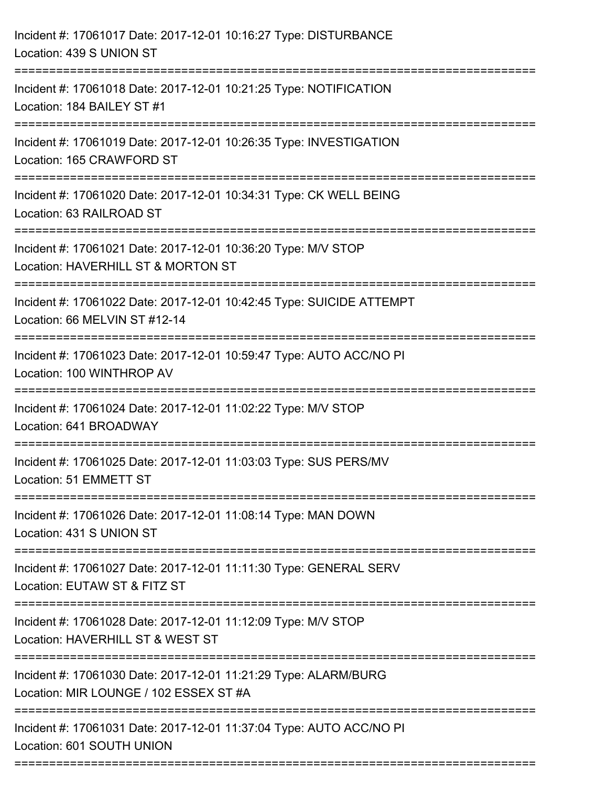| Incident #: 17061017 Date: 2017-12-01 10:16:27 Type: DISTURBANCE<br>Location: 439 S UNION ST              |
|-----------------------------------------------------------------------------------------------------------|
| Incident #: 17061018 Date: 2017-12-01 10:21:25 Type: NOTIFICATION<br>Location: 184 BAILEY ST #1           |
| Incident #: 17061019 Date: 2017-12-01 10:26:35 Type: INVESTIGATION<br>Location: 165 CRAWFORD ST           |
| Incident #: 17061020 Date: 2017-12-01 10:34:31 Type: CK WELL BEING<br>Location: 63 RAILROAD ST            |
| Incident #: 17061021 Date: 2017-12-01 10:36:20 Type: M/V STOP<br>Location: HAVERHILL ST & MORTON ST       |
| Incident #: 17061022 Date: 2017-12-01 10:42:45 Type: SUICIDE ATTEMPT<br>Location: 66 MELVIN ST #12-14     |
| Incident #: 17061023 Date: 2017-12-01 10:59:47 Type: AUTO ACC/NO PI<br>Location: 100 WINTHROP AV          |
| Incident #: 17061024 Date: 2017-12-01 11:02:22 Type: M/V STOP<br>Location: 641 BROADWAY                   |
| Incident #: 17061025 Date: 2017-12-01 11:03:03 Type: SUS PERS/MV<br>Location: 51 EMMETT ST                |
| Incident #: 17061026 Date: 2017-12-01 11:08:14 Type: MAN DOWN<br>Location: 431 S UNION ST                 |
| Incident #: 17061027 Date: 2017-12-01 11:11:30 Type: GENERAL SERV<br>Location: EUTAW ST & FITZ ST         |
| Incident #: 17061028 Date: 2017-12-01 11:12:09 Type: M/V STOP<br>Location: HAVERHILL ST & WEST ST         |
| Incident #: 17061030 Date: 2017-12-01 11:21:29 Type: ALARM/BURG<br>Location: MIR LOUNGE / 102 ESSEX ST #A |
| Incident #: 17061031 Date: 2017-12-01 11:37:04 Type: AUTO ACC/NO PI<br>Location: 601 SOUTH UNION          |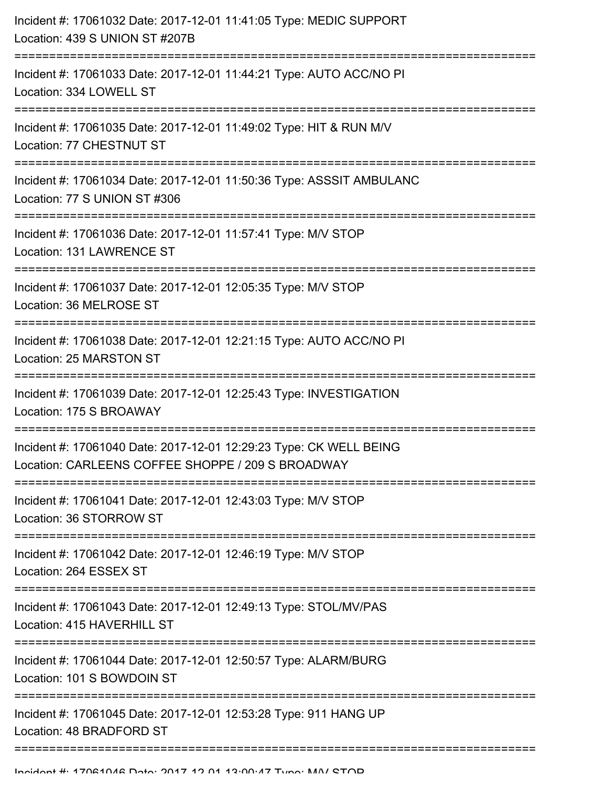| Incident #: 17061032 Date: 2017-12-01 11:41:05 Type: MEDIC SUPPORT<br>Location: 439 S UNION ST #207B                    |
|-------------------------------------------------------------------------------------------------------------------------|
| Incident #: 17061033 Date: 2017-12-01 11:44:21 Type: AUTO ACC/NO PI<br>Location: 334 LOWELL ST                          |
| Incident #: 17061035 Date: 2017-12-01 11:49:02 Type: HIT & RUN M/V<br>Location: 77 CHESTNUT ST                          |
| Incident #: 17061034 Date: 2017-12-01 11:50:36 Type: ASSSIT AMBULANC<br>Location: 77 S UNION ST #306                    |
| Incident #: 17061036 Date: 2017-12-01 11:57:41 Type: M/V STOP<br>Location: 131 LAWRENCE ST                              |
| Incident #: 17061037 Date: 2017-12-01 12:05:35 Type: M/V STOP<br>Location: 36 MELROSE ST                                |
| Incident #: 17061038 Date: 2017-12-01 12:21:15 Type: AUTO ACC/NO PI<br>Location: 25 MARSTON ST                          |
| Incident #: 17061039 Date: 2017-12-01 12:25:43 Type: INVESTIGATION<br>Location: 175 S BROAWAY                           |
| Incident #: 17061040 Date: 2017-12-01 12:29:23 Type: CK WELL BEING<br>Location: CARLEENS COFFEE SHOPPE / 209 S BROADWAY |
| Incident #: 17061041 Date: 2017-12-01 12:43:03 Type: M/V STOP<br>Location: 36 STORROW ST                                |
| Incident #: 17061042 Date: 2017-12-01 12:46:19 Type: M/V STOP<br>Location: 264 ESSEX ST                                 |
| Incident #: 17061043 Date: 2017-12-01 12:49:13 Type: STOL/MV/PAS<br>Location: 415 HAVERHILL ST                          |
| Incident #: 17061044 Date: 2017-12-01 12:50:57 Type: ALARM/BURG<br>Location: 101 S BOWDOIN ST                           |
| Incident #: 17061045 Date: 2017-12-01 12:53:28 Type: 911 HANG UP<br>Location: 48 BRADFORD ST                            |
|                                                                                                                         |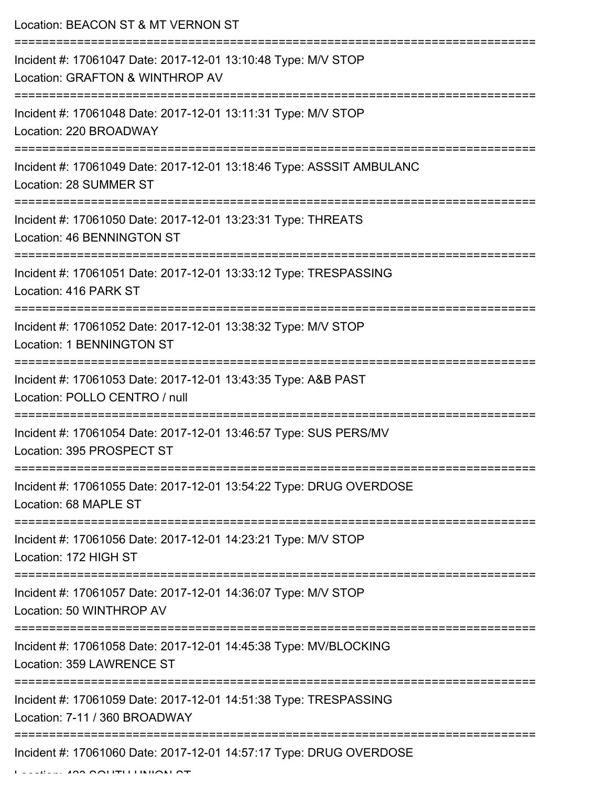| Location: BEACON ST & MT VERNON ST                                                                                         |
|----------------------------------------------------------------------------------------------------------------------------|
| Incident #: 17061047 Date: 2017-12-01 13:10:48 Type: M/V STOP<br>Location: GRAFTON & WINTHROP AV                           |
| Incident #: 17061048 Date: 2017-12-01 13:11:31 Type: M/V STOP<br>Location: 220 BROADWAY                                    |
| Incident #: 17061049 Date: 2017-12-01 13:18:46 Type: ASSSIT AMBULANC<br>Location: 28 SUMMER ST<br>;============            |
| Incident #: 17061050 Date: 2017-12-01 13:23:31 Type: THREATS<br>Location: 46 BENNINGTON ST                                 |
| Incident #: 17061051 Date: 2017-12-01 13:33:12 Type: TRESPASSING<br>Location: 416 PARK ST                                  |
| Incident #: 17061052 Date: 2017-12-01 13:38:32 Type: M/V STOP<br><b>Location: 1 BENNINGTON ST</b><br>--------------------- |
| Incident #: 17061053 Date: 2017-12-01 13:43:35 Type: A&B PAST<br>Location: POLLO CENTRO / null                             |
| Incident #: 17061054 Date: 2017-12-01 13:46:57 Type: SUS PERS/MV<br>Location: 395 PROSPECT ST                              |
| Incident #: 17061055 Date: 2017-12-01 13:54:22 Type: DRUG OVERDOSE<br>Location: 68 MAPLE ST                                |
| Incident #: 17061056 Date: 2017-12-01 14:23:21 Type: M/V STOP<br>Location: 172 HIGH ST                                     |
| Incident #: 17061057 Date: 2017-12-01 14:36:07 Type: M/V STOP<br>Location: 50 WINTHROP AV                                  |
| Incident #: 17061058 Date: 2017-12-01 14:45:38 Type: MV/BLOCKING<br>Location: 359 LAWRENCE ST                              |
| Incident #: 17061059 Date: 2017-12-01 14:51:38 Type: TRESPASSING<br>Location: 7-11 / 360 BROADWAY                          |
| Incident #: 17061060 Date: 2017-12-01 14:57:17 Type: DRUG OVERDOSE                                                         |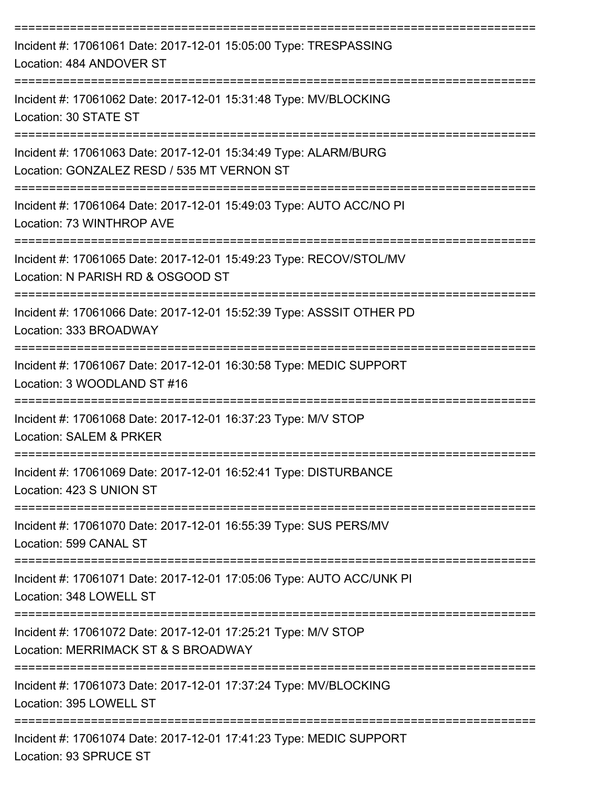| Incident #: 17061061 Date: 2017-12-01 15:05:00 Type: TRESPASSING<br>Location: 484 ANDOVER ST                  |
|---------------------------------------------------------------------------------------------------------------|
| Incident #: 17061062 Date: 2017-12-01 15:31:48 Type: MV/BLOCKING<br>Location: 30 STATE ST                     |
| Incident #: 17061063 Date: 2017-12-01 15:34:49 Type: ALARM/BURG<br>Location: GONZALEZ RESD / 535 MT VERNON ST |
| Incident #: 17061064 Date: 2017-12-01 15:49:03 Type: AUTO ACC/NO PI<br>Location: 73 WINTHROP AVE              |
| Incident #: 17061065 Date: 2017-12-01 15:49:23 Type: RECOV/STOL/MV<br>Location: N PARISH RD & OSGOOD ST       |
| Incident #: 17061066 Date: 2017-12-01 15:52:39 Type: ASSSIT OTHER PD<br>Location: 333 BROADWAY                |
| Incident #: 17061067 Date: 2017-12-01 16:30:58 Type: MEDIC SUPPORT<br>Location: 3 WOODLAND ST #16             |
| Incident #: 17061068 Date: 2017-12-01 16:37:23 Type: M/V STOP<br><b>Location: SALEM &amp; PRKER</b>           |
| Incident #: 17061069 Date: 2017-12-01 16:52:41 Type: DISTURBANCE<br>Location: 423 S UNION ST                  |
| Incident #: 17061070 Date: 2017-12-01 16:55:39 Type: SUS PERS/MV<br>Location: 599 CANAL ST                    |
| Incident #: 17061071 Date: 2017-12-01 17:05:06 Type: AUTO ACC/UNK PI<br>Location: 348 LOWELL ST               |
| Incident #: 17061072 Date: 2017-12-01 17:25:21 Type: M/V STOP<br>Location: MERRIMACK ST & S BROADWAY          |
| Incident #: 17061073 Date: 2017-12-01 17:37:24 Type: MV/BLOCKING<br>Location: 395 LOWELL ST                   |
| Incident #: 17061074 Date: 2017-12-01 17:41:23 Type: MEDIC SUPPORT<br>Location: 93 SPRUCE ST                  |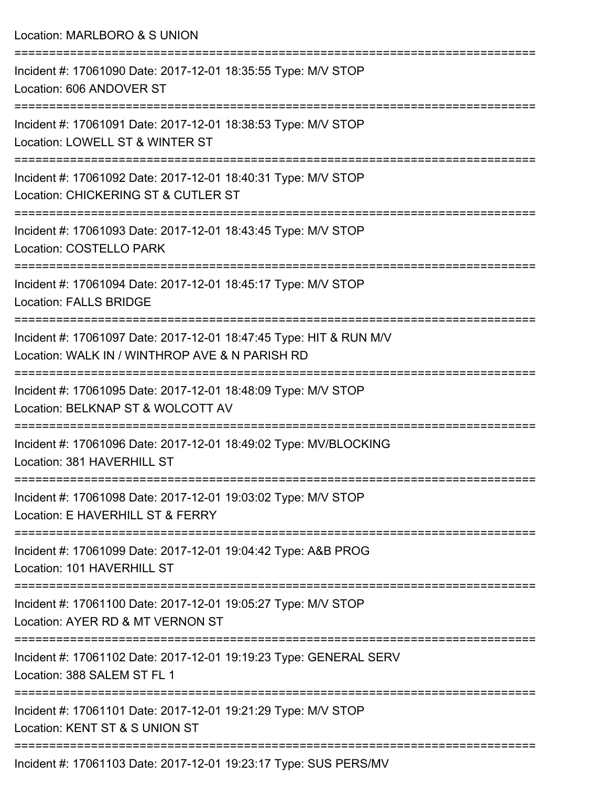Location: MARLBORO & S UNION

| Incident #: 17061090 Date: 2017-12-01 18:35:55 Type: M/V STOP<br>Location: 606 ANDOVER ST                            |
|----------------------------------------------------------------------------------------------------------------------|
| Incident #: 17061091 Date: 2017-12-01 18:38:53 Type: M/V STOP<br>Location: LOWELL ST & WINTER ST                     |
| Incident #: 17061092 Date: 2017-12-01 18:40:31 Type: M/V STOP<br>Location: CHICKERING ST & CUTLER ST                 |
| Incident #: 17061093 Date: 2017-12-01 18:43:45 Type: M/V STOP<br><b>Location: COSTELLO PARK</b>                      |
| Incident #: 17061094 Date: 2017-12-01 18:45:17 Type: M/V STOP<br><b>Location: FALLS BRIDGE</b>                       |
| Incident #: 17061097 Date: 2017-12-01 18:47:45 Type: HIT & RUN M/V<br>Location: WALK IN / WINTHROP AVE & N PARISH RD |
| Incident #: 17061095 Date: 2017-12-01 18:48:09 Type: M/V STOP<br>Location: BELKNAP ST & WOLCOTT AV                   |
| Incident #: 17061096 Date: 2017-12-01 18:49:02 Type: MV/BLOCKING<br>Location: 381 HAVERHILL ST                       |
| Incident #: 17061098 Date: 2017-12-01 19:03:02 Type: M/V STOP<br>Location: E HAVERHILL ST & FERRY                    |
| Incident #: 17061099 Date: 2017-12-01 19:04:42 Type: A&B PROG<br>Location: 101 HAVERHILL ST                          |
| Incident #: 17061100 Date: 2017-12-01 19:05:27 Type: M/V STOP<br>Location: AYER RD & MT VERNON ST                    |
| Incident #: 17061102 Date: 2017-12-01 19:19:23 Type: GENERAL SERV<br>Location: 388 SALEM ST FL 1                     |
| Incident #: 17061101 Date: 2017-12-01 19:21:29 Type: M/V STOP<br>Location: KENT ST & S UNION ST                      |
| Incident #: 17061103 Date: 2017-12-01 19:23:17 Type: SUS PERS/MV                                                     |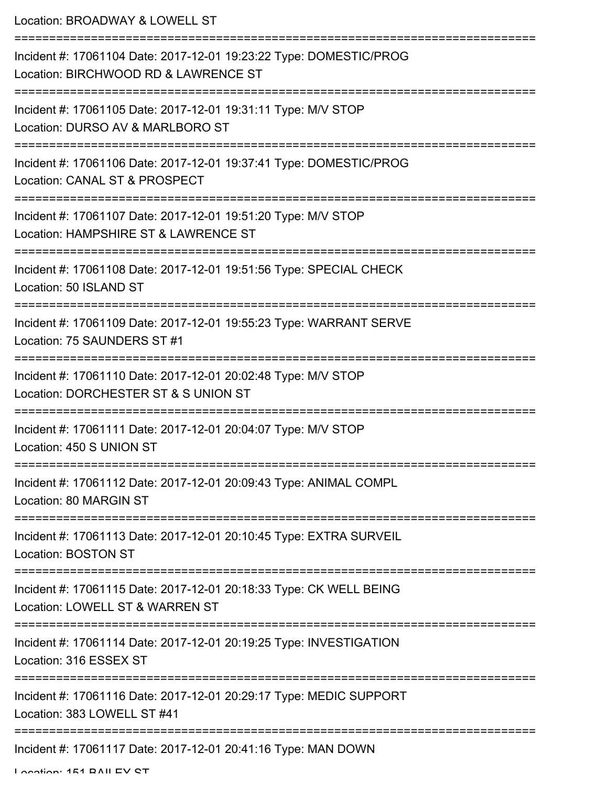| Location: BROADWAY & LOWELL ST                                                                                                 |
|--------------------------------------------------------------------------------------------------------------------------------|
| Incident #: 17061104 Date: 2017-12-01 19:23:22 Type: DOMESTIC/PROG<br>Location: BIRCHWOOD RD & LAWRENCE ST                     |
| Incident #: 17061105 Date: 2017-12-01 19:31:11 Type: M/V STOP<br>Location: DURSO AV & MARLBORO ST                              |
| Incident #: 17061106 Date: 2017-12-01 19:37:41 Type: DOMESTIC/PROG<br>Location: CANAL ST & PROSPECT                            |
| Incident #: 17061107 Date: 2017-12-01 19:51:20 Type: M/V STOP<br>Location: HAMPSHIRE ST & LAWRENCE ST                          |
| <u>:=================</u><br>Incident #: 17061108 Date: 2017-12-01 19:51:56 Type: SPECIAL CHECK<br>Location: 50 ISLAND ST      |
| Incident #: 17061109 Date: 2017-12-01 19:55:23 Type: WARRANT SERVE<br>Location: 75 SAUNDERS ST #1                              |
| Incident #: 17061110 Date: 2017-12-01 20:02:48 Type: M/V STOP<br>Location: DORCHESTER ST & S UNION ST<br>--------------------- |
| Incident #: 17061111 Date: 2017-12-01 20:04:07 Type: M/V STOP<br>Location: 450 S UNION ST                                      |
| Incident #: 17061112 Date: 2017-12-01 20:09:43 Type: ANIMAL COMPL<br>Location: 80 MARGIN ST                                    |
| Incident #: 17061113 Date: 2017-12-01 20:10:45 Type: EXTRA SURVEIL<br>Location: BOSTON ST                                      |
| Incident #: 17061115 Date: 2017-12-01 20:18:33 Type: CK WELL BEING<br>Location: LOWELL ST & WARREN ST                          |
| Incident #: 17061114 Date: 2017-12-01 20:19:25 Type: INVESTIGATION<br>Location: 316 ESSEX ST                                   |
| Incident #: 17061116 Date: 2017-12-01 20:29:17 Type: MEDIC SUPPORT<br>Location: 383 LOWELL ST #41                              |
| Incident #: 17061117 Date: 2017-12-01 20:41:16 Type: MAN DOWN                                                                  |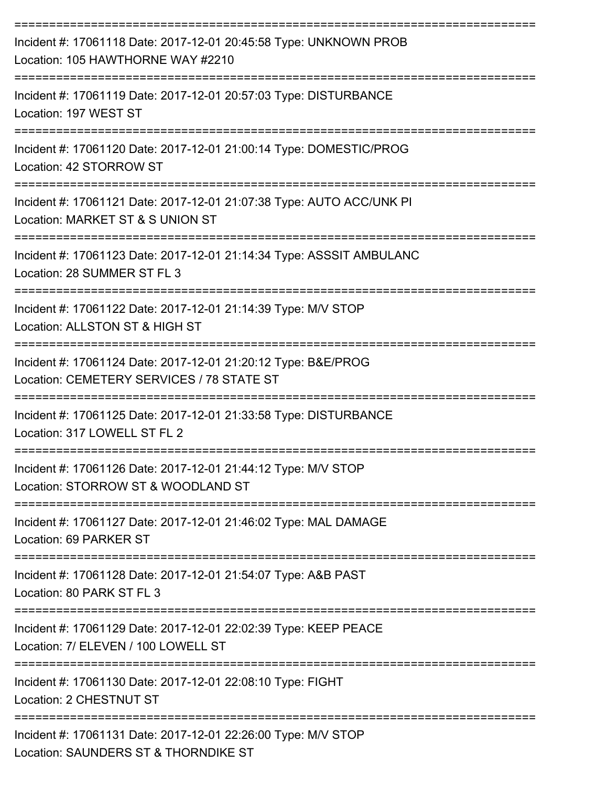| Incident #: 17061118 Date: 2017-12-01 20:45:58 Type: UNKNOWN PROB<br>Location: 105 HAWTHORNE WAY #2210                           |
|----------------------------------------------------------------------------------------------------------------------------------|
| Incident #: 17061119 Date: 2017-12-01 20:57:03 Type: DISTURBANCE<br>Location: 197 WEST ST                                        |
| Incident #: 17061120 Date: 2017-12-01 21:00:14 Type: DOMESTIC/PROG<br>Location: 42 STORROW ST                                    |
| Incident #: 17061121 Date: 2017-12-01 21:07:38 Type: AUTO ACC/UNK PI<br>Location: MARKET ST & S UNION ST                         |
| Incident #: 17061123 Date: 2017-12-01 21:14:34 Type: ASSSIT AMBULANC<br>Location: 28 SUMMER ST FL 3                              |
| Incident #: 17061122 Date: 2017-12-01 21:14:39 Type: M/V STOP<br>Location: ALLSTON ST & HIGH ST                                  |
| Incident #: 17061124 Date: 2017-12-01 21:20:12 Type: B&E/PROG<br>Location: CEMETERY SERVICES / 78 STATE ST                       |
| :===========================<br>Incident #: 17061125 Date: 2017-12-01 21:33:58 Type: DISTURBANCE<br>Location: 317 LOWELL ST FL 2 |
| Incident #: 17061126 Date: 2017-12-01 21:44:12 Type: M/V STOP<br>Location: STORROW ST & WOODLAND ST                              |
| Incident #: 17061127 Date: 2017-12-01 21:46:02 Type: MAL DAMAGE<br>Location: 69 PARKER ST                                        |
| Incident #: 17061128 Date: 2017-12-01 21:54:07 Type: A&B PAST<br>Location: 80 PARK ST FL 3                                       |
| Incident #: 17061129 Date: 2017-12-01 22:02:39 Type: KEEP PEACE<br>Location: 7/ ELEVEN / 100 LOWELL ST                           |
| Incident #: 17061130 Date: 2017-12-01 22:08:10 Type: FIGHT<br>Location: 2 CHESTNUT ST                                            |
| Incident #: 17061131 Date: 2017-12-01 22:26:00 Type: M/V STOP<br>Location: SAUNDERS ST & THORNDIKE ST                            |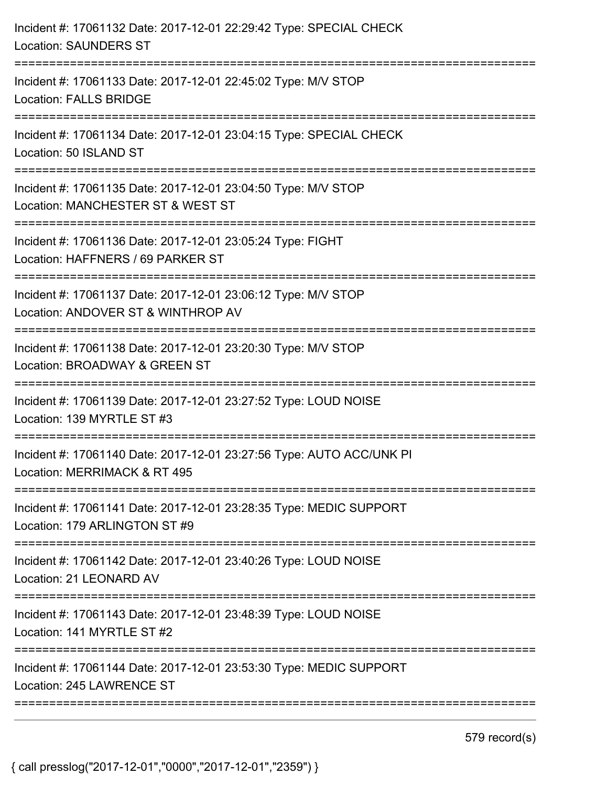| Incident #: 17061132 Date: 2017-12-01 22:29:42 Type: SPECIAL CHECK<br><b>Location: SAUNDERS ST</b>                                     |
|----------------------------------------------------------------------------------------------------------------------------------------|
| Incident #: 17061133 Date: 2017-12-01 22:45:02 Type: M/V STOP<br><b>Location: FALLS BRIDGE</b><br>:=================================== |
| Incident #: 17061134 Date: 2017-12-01 23:04:15 Type: SPECIAL CHECK<br>Location: 50 ISLAND ST                                           |
| Incident #: 17061135 Date: 2017-12-01 23:04:50 Type: M/V STOP<br>Location: MANCHESTER ST & WEST ST<br>==================               |
| Incident #: 17061136 Date: 2017-12-01 23:05:24 Type: FIGHT<br>Location: HAFFNERS / 69 PARKER ST                                        |
| Incident #: 17061137 Date: 2017-12-01 23:06:12 Type: M/V STOP<br>Location: ANDOVER ST & WINTHROP AV                                    |
| Incident #: 17061138 Date: 2017-12-01 23:20:30 Type: M/V STOP<br>Location: BROADWAY & GREEN ST                                         |
| Incident #: 17061139 Date: 2017-12-01 23:27:52 Type: LOUD NOISE<br>Location: 139 MYRTLE ST #3                                          |
| Incident #: 17061140 Date: 2017-12-01 23:27:56 Type: AUTO ACC/UNK PI<br>Location: MERRIMACK & RT 495                                   |
| Incident #: 17061141 Date: 2017-12-01 23:28:35 Type: MEDIC SUPPORT<br>Location: 179 ARLINGTON ST #9                                    |
| Incident #: 17061142 Date: 2017-12-01 23:40:26 Type: LOUD NOISE<br>Location: 21 LEONARD AV                                             |
| Incident #: 17061143 Date: 2017-12-01 23:48:39 Type: LOUD NOISE<br>Location: 141 MYRTLE ST #2                                          |
| Incident #: 17061144 Date: 2017-12-01 23:53:30 Type: MEDIC SUPPORT<br>Location: 245 LAWRENCE ST                                        |